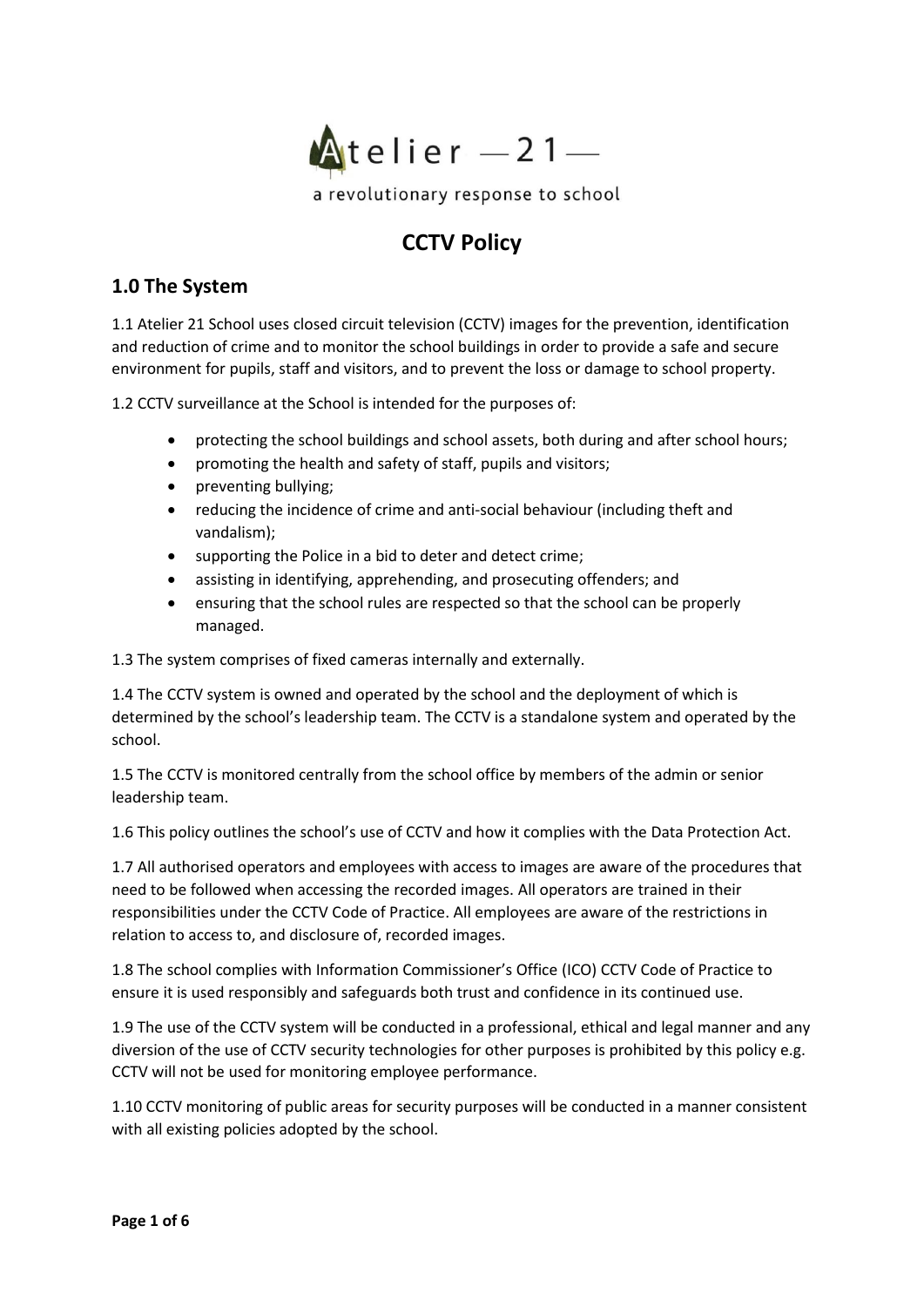

# **CCTV Policy**

# **1.0 The System**

1.1 Atelier 21 School uses closed circuit television (CCTV) images for the prevention, identification and reduction of crime and to monitor the school buildings in order to provide a safe and secure environment for pupils, staff and visitors, and to prevent the loss or damage to school property.

1.2 CCTV surveillance at the School is intended for the purposes of:

- protecting the school buildings and school assets, both during and after school hours;
- promoting the health and safety of staff, pupils and visitors;
- preventing bullying;
- reducing the incidence of crime and anti-social behaviour (including theft and vandalism);
- supporting the Police in a bid to deter and detect crime;
- assisting in identifying, apprehending, and prosecuting offenders; and
- ensuring that the school rules are respected so that the school can be properly managed.

1.3 The system comprises of fixed cameras internally and externally.

1.4 The CCTV system is owned and operated by the school and the deployment of which is determined by the school's leadership team. The CCTV is a standalone system and operated by the school.

1.5 The CCTV is monitored centrally from the school office by members of the admin or senior leadership team.

1.6 This policy outlines the school's use of CCTV and how it complies with the Data Protection Act.

1.7 All authorised operators and employees with access to images are aware of the procedures that need to be followed when accessing the recorded images. All operators are trained in their responsibilities under the CCTV Code of Practice. All employees are aware of the restrictions in relation to access to, and disclosure of, recorded images.

1.8 The school complies with Information Commissioner's Office (ICO) CCTV Code of Practice to ensure it is used responsibly and safeguards both trust and confidence in its continued use.

1.9 The use of the CCTV system will be conducted in a professional, ethical and legal manner and any diversion of the use of CCTV security technologies for other purposes is prohibited by this policy e.g. CCTV will not be used for monitoring employee performance.

1.10 CCTV monitoring of public areas for security purposes will be conducted in a manner consistent with all existing policies adopted by the school.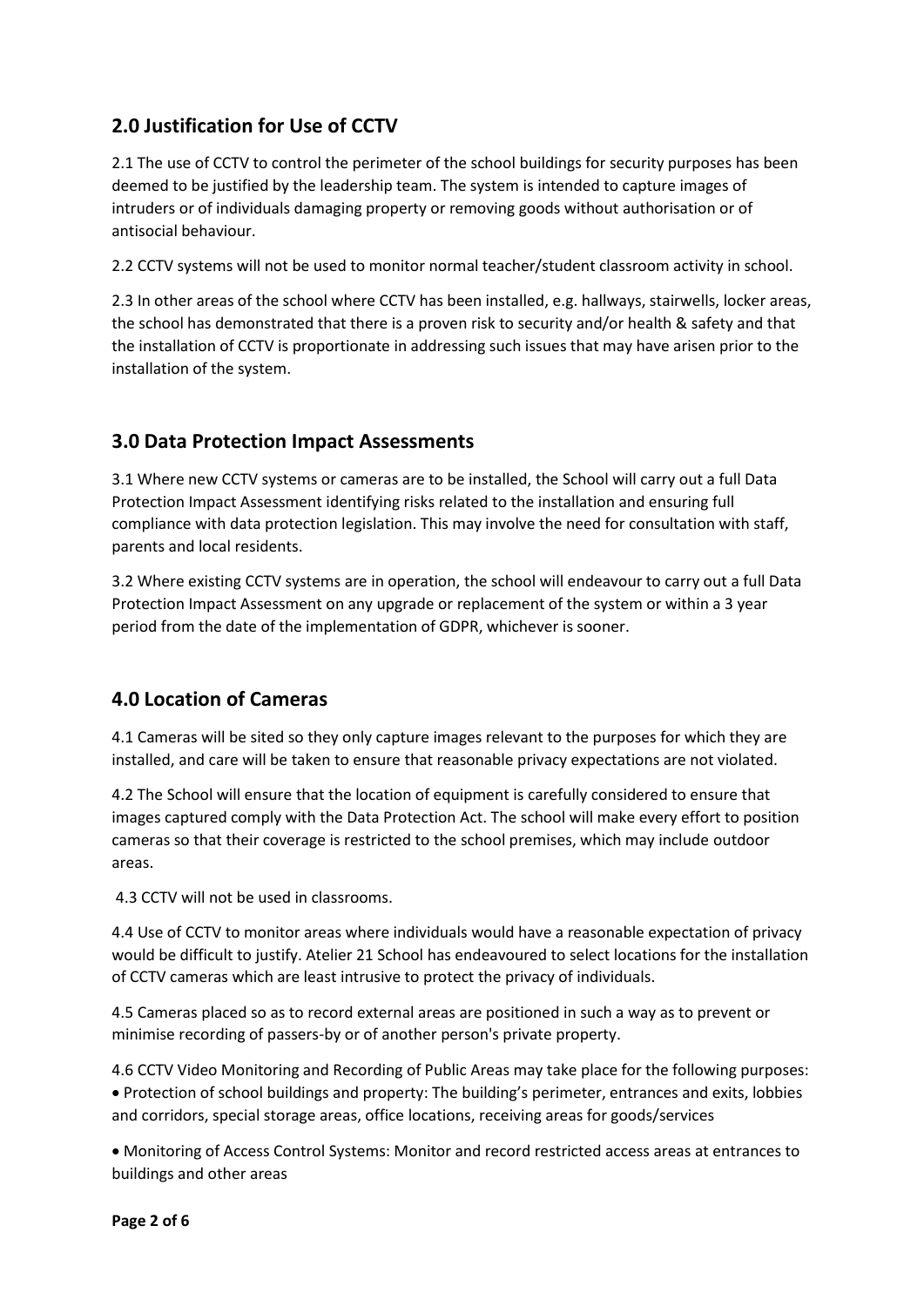# **2.0 Justification for Use of CCTV**

2.1 The use of CCTV to control the perimeter of the school buildings for security purposes has been deemed to be justified by the leadership team. The system is intended to capture images of intruders or of individuals damaging property or removing goods without authorisation or of antisocial behaviour.

2.2 CCTV systems will not be used to monitor normal teacher/student classroom activity in school.

2.3 In other areas of the school where CCTV has been installed, e.g. hallways, stairwells, locker areas, the school has demonstrated that there is a proven risk to security and/or health & safety and that the installation of CCTV is proportionate in addressing such issues that may have arisen prior to the installation of the system.

# **3.0 Data Protection Impact Assessments**

3.1 Where new CCTV systems or cameras are to be installed, the School will carry out a full Data Protection Impact Assessment identifying risks related to the installation and ensuring full compliance with data protection legislation. This may involve the need for consultation with staff, parents and local residents.

3.2 Where existing CCTV systems are in operation, the school will endeavour to carry out a full Data Protection Impact Assessment on any upgrade or replacement of the system or within a 3 year period from the date of the implementation of GDPR, whichever is sooner.

# **4.0 Location of Cameras**

4.1 Cameras will be sited so they only capture images relevant to the purposes for which they are installed, and care will be taken to ensure that reasonable privacy expectations are not violated.

4.2 The School will ensure that the location of equipment is carefully considered to ensure that images captured comply with the Data Protection Act. The school will make every effort to position cameras so that their coverage is restricted to the school premises, which may include outdoor areas.

4.3 CCTV will not be used in classrooms.

4.4 Use of CCTV to monitor areas where individuals would have a reasonable expectation of privacy would be difficult to justify. Atelier 21 School has endeavoured to select locations for the installation of CCTV cameras which are least intrusive to protect the privacy of individuals.

4.5 Cameras placed so as to record external areas are positioned in such a way as to prevent or minimise recording of passers-by or of another person's private property.

4.6 CCTV Video Monitoring and Recording of Public Areas may take place for the following purposes: • Protection of school buildings and property: The building's perimeter, entrances and exits, lobbies and corridors, special storage areas, office locations, receiving areas for goods/services

• Monitoring of Access Control Systems: Monitor and record restricted access areas at entrances to buildings and other areas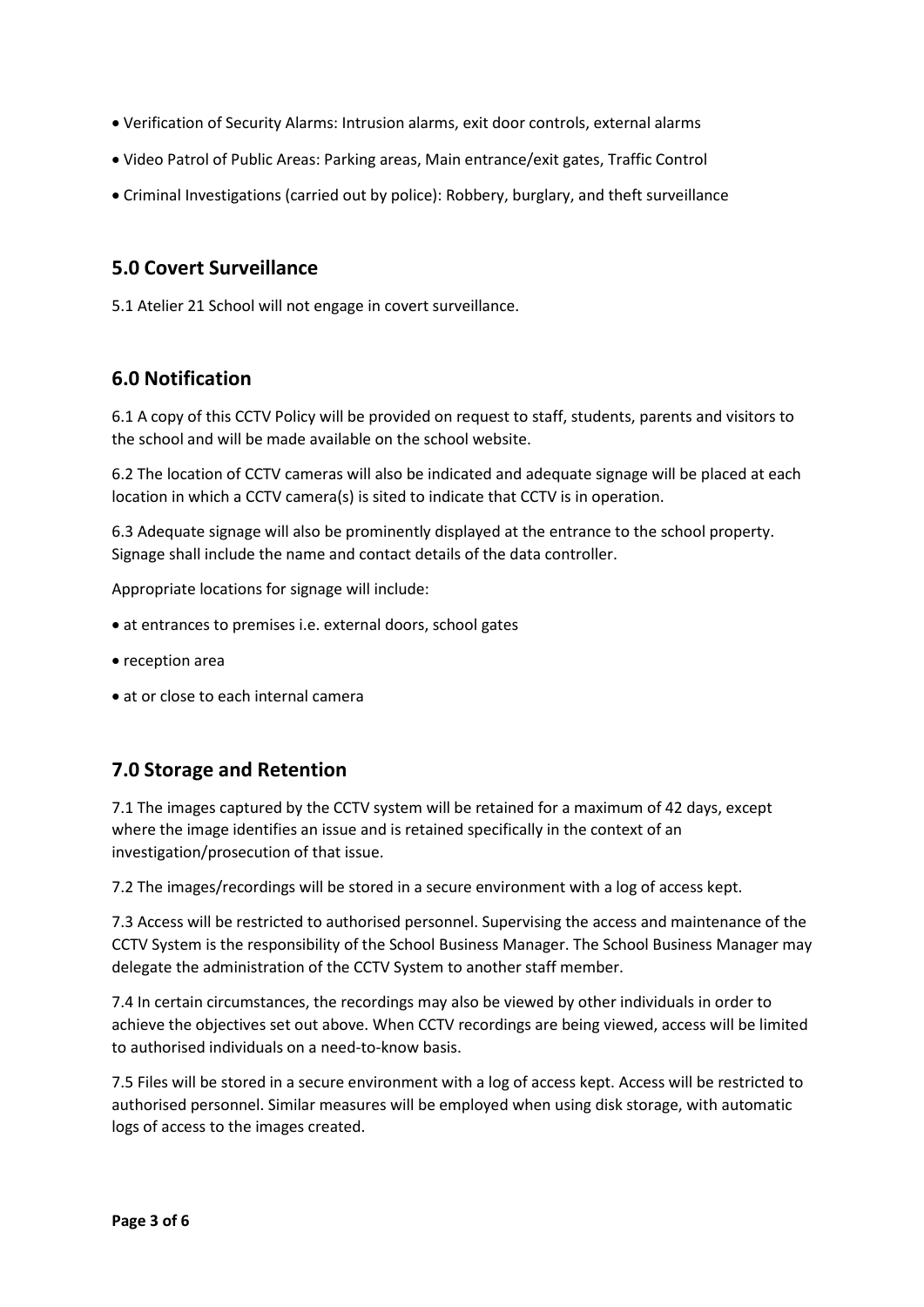- Verification of Security Alarms: Intrusion alarms, exit door controls, external alarms
- Video Patrol of Public Areas: Parking areas, Main entrance/exit gates, Traffic Control
- Criminal Investigations (carried out by police): Robbery, burglary, and theft surveillance

### **5.0 Covert Surveillance**

5.1 Atelier 21 School will not engage in covert surveillance.

### **6.0 Notification**

6.1 A copy of this CCTV Policy will be provided on request to staff, students, parents and visitors to the school and will be made available on the school website.

6.2 The location of CCTV cameras will also be indicated and adequate signage will be placed at each location in which a CCTV camera(s) is sited to indicate that CCTV is in operation.

6.3 Adequate signage will also be prominently displayed at the entrance to the school property. Signage shall include the name and contact details of the data controller.

Appropriate locations for signage will include:

- at entrances to premises i.e. external doors, school gates
- reception area
- at or close to each internal camera

## **7.0 Storage and Retention**

7.1 The images captured by the CCTV system will be retained for a maximum of 42 days, except where the image identifies an issue and is retained specifically in the context of an investigation/prosecution of that issue.

7.2 The images/recordings will be stored in a secure environment with a log of access kept.

7.3 Access will be restricted to authorised personnel. Supervising the access and maintenance of the CCTV System is the responsibility of the School Business Manager. The School Business Manager may delegate the administration of the CCTV System to another staff member.

7.4 In certain circumstances, the recordings may also be viewed by other individuals in order to achieve the objectives set out above. When CCTV recordings are being viewed, access will be limited to authorised individuals on a need-to-know basis.

7.5 Files will be stored in a secure environment with a log of access kept. Access will be restricted to authorised personnel. Similar measures will be employed when using disk storage, with automatic logs of access to the images created.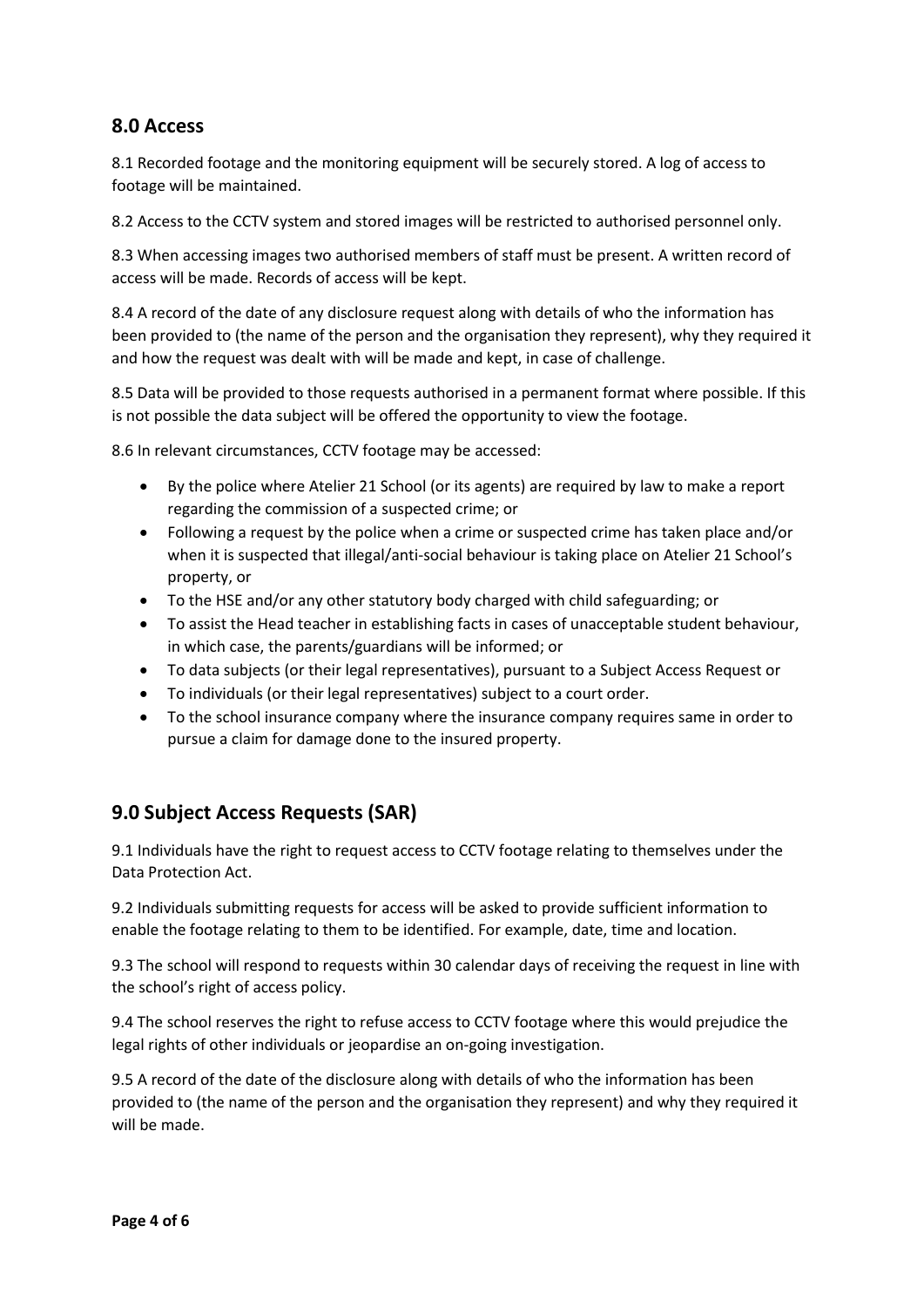### **8.0 Access**

8.1 Recorded footage and the monitoring equipment will be securely stored. A log of access to footage will be maintained.

8.2 Access to the CCTV system and stored images will be restricted to authorised personnel only.

8.3 When accessing images two authorised members of staff must be present. A written record of access will be made. Records of access will be kept.

8.4 A record of the date of any disclosure request along with details of who the information has been provided to (the name of the person and the organisation they represent), why they required it and how the request was dealt with will be made and kept, in case of challenge.

8.5 Data will be provided to those requests authorised in a permanent format where possible. If this is not possible the data subject will be offered the opportunity to view the footage.

8.6 In relevant circumstances, CCTV footage may be accessed:

- By the police where Atelier 21 School (or its agents) are required by law to make a report regarding the commission of a suspected crime; or
- Following a request by the police when a crime or suspected crime has taken place and/or when it is suspected that illegal/anti-social behaviour is taking place on Atelier 21 School's property, or
- To the HSE and/or any other statutory body charged with child safeguarding; or
- To assist the Head teacher in establishing facts in cases of unacceptable student behaviour, in which case, the parents/guardians will be informed; or
- To data subjects (or their legal representatives), pursuant to a Subject Access Request or
- To individuals (or their legal representatives) subject to a court order.
- To the school insurance company where the insurance company requires same in order to pursue a claim for damage done to the insured property.

## **9.0 Subject Access Requests (SAR)**

9.1 Individuals have the right to request access to CCTV footage relating to themselves under the Data Protection Act.

9.2 Individuals submitting requests for access will be asked to provide sufficient information to enable the footage relating to them to be identified. For example, date, time and location.

9.3 The school will respond to requests within 30 calendar days of receiving the request in line with the school's right of access policy.

9.4 The school reserves the right to refuse access to CCTV footage where this would prejudice the legal rights of other individuals or jeopardise an on-going investigation.

9.5 A record of the date of the disclosure along with details of who the information has been provided to (the name of the person and the organisation they represent) and why they required it will be made.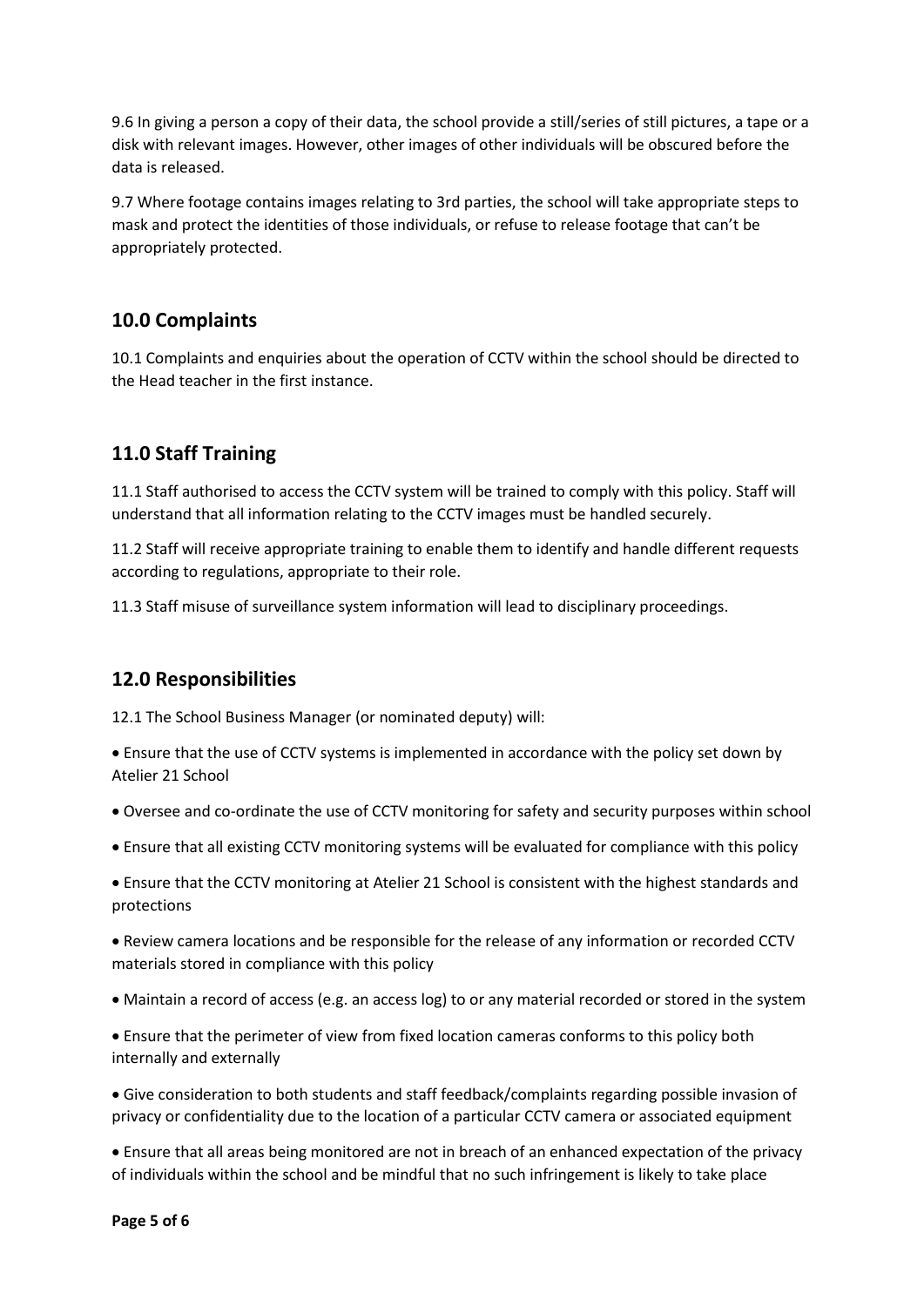9.6 In giving a person a copy of their data, the school provide a still/series of still pictures, a tape or a disk with relevant images. However, other images of other individuals will be obscured before the data is released.

9.7 Where footage contains images relating to 3rd parties, the school will take appropriate steps to mask and protect the identities of those individuals, or refuse to release footage that can't be appropriately protected.

#### **10.0 Complaints**

10.1 Complaints and enquiries about the operation of CCTV within the school should be directed to the Head teacher in the first instance.

#### **11.0 Staff Training**

11.1 Staff authorised to access the CCTV system will be trained to comply with this policy. Staff will understand that all information relating to the CCTV images must be handled securely.

11.2 Staff will receive appropriate training to enable them to identify and handle different requests according to regulations, appropriate to their role.

11.3 Staff misuse of surveillance system information will lead to disciplinary proceedings.

#### **12.0 Responsibilities**

12.1 The School Business Manager (or nominated deputy) will:

• Ensure that the use of CCTV systems is implemented in accordance with the policy set down by Atelier 21 School

- Oversee and co-ordinate the use of CCTV monitoring for safety and security purposes within school
- Ensure that all existing CCTV monitoring systems will be evaluated for compliance with this policy

• Ensure that the CCTV monitoring at Atelier 21 School is consistent with the highest standards and protections

• Review camera locations and be responsible for the release of any information or recorded CCTV materials stored in compliance with this policy

• Maintain a record of access (e.g. an access log) to or any material recorded or stored in the system

• Ensure that the perimeter of view from fixed location cameras conforms to this policy both internally and externally

• Give consideration to both students and staff feedback/complaints regarding possible invasion of privacy or confidentiality due to the location of a particular CCTV camera or associated equipment

• Ensure that all areas being monitored are not in breach of an enhanced expectation of the privacy of individuals within the school and be mindful that no such infringement is likely to take place